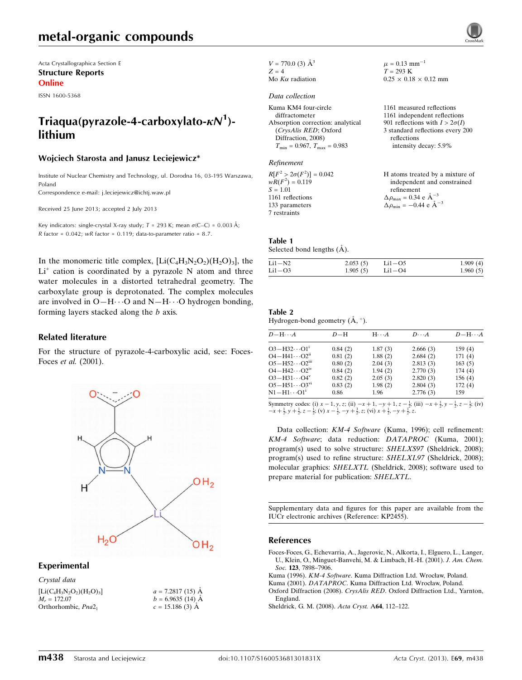## metal-organic compounds

Acta Crystallographica Section E Structure Reports Online

ISSN 1600-5368

## Triaqua(pyrazole-4-carboxylato- $\kappa N^1$ )lithium

#### Wojciech Starosta and Janusz Leciejewicz\*

Institute of Nuclear Chemistry and Technology, ul. Dorodna 16, 03-195 Warszawa, Poland

Correspondence e-mail: [j.leciejewicz@ichtj.waw.pl](https://scripts.iucr.org/cgi-bin/cr.cgi?rm=pdfbb&cnor=kp2455&bbid=BB5)

Received 25 June 2013; accepted 2 July 2013

Key indicators: single-crystal X-ray study;  $T = 293$  K; mean  $\sigma$ (C–C) = 0.003 Å; R factor =  $0.042$ ; wR factor =  $0.119$ ; data-to-parameter ratio =  $8.7$ .

In the monomeric title complex,  $[Li(C_4H_3N_2O_2)(H_2O_3)]$ , the  $Li<sup>+</sup>$  cation is coordinated by a pyrazole N atom and three water molecules in a distorted tetrahedral geometry. The carboxylate group is deprotonated. The complex molecules are involved in  $O-H \cdots O$  and  $N-H \cdots O$  hydrogen bonding, forming layers stacked along the b axis.

#### Related literature

For the structure of pyrazole-4-carboxylic acid, see: Foces-Foces et al. (2001).



#### Experimental

Crystal data  $[Li(C_4H_3N_2O_2)(H_2O)_3]$  $M_r = 172.07$ Orthorhombic, Pna2<sub>1</sub>

 $a = 7.2817(15)$  Å  $b = 6.9635(14)$  Å  $c = 15.186$  (3) Å

| $V = 770.0$ (3) $\AA^3$ |
|-------------------------|
| $Z = 4$                 |
| Mo $K\alpha$ radiation  |

#### Data collection

| Kuma KM4 four-circle                    |
|-----------------------------------------|
| diffractometer                          |
| Absorption correction: analytical       |
| (CrysAlis RED; Oxford                   |
| Diffraction, 2008)                      |
| $T_{\min} = 0.967$ , $T_{\max} = 0.983$ |

#### Refinement

 $R[F^2 > 2\sigma(F^2)] = 0.042$  $wR(F^2) = 0.119$  $S = 1.01$ 1161 reflections 133 parameters 7 restraints H atoms treated by a mixture of  $\Delta \rho_{\text{max}} = 0.34 \text{ e A}^{-3}$  $\Delta \rho_{\rm min} = -0.44 \text{ e } \text{\AA}^{-3}$ 

#### Table 1

Selected bond lengths  $(\AA)$ .

| $Li1 - N2$ | 2.053(5) | $Li1 - O5$ | 1.909(4) |
|------------|----------|------------|----------|
| $Li1 - O3$ | 1.905(5) | Li1-O4     | 1.960(5) |

 $\mu = 0.13$  mm<sup>-1</sup>  $T = 293 \text{ K}$ 

reflections

refinement

 $0.25 \times 0.18 \times 0.12$  mm

1161 measured reflections 1161 independent reflections 901 reflections with  $I > 2\sigma(I)$ 3 standard reflections every 200

intensity decay: 5.9%

independent and constrained

#### Table 2 Hydrogen-bond geometry  $(A, \circ)$ .

| $D - H \cdots A$                   | $D-H$   | $H \cdots A$ | $D\cdots A$ | $D - H \cdots A$ |
|------------------------------------|---------|--------------|-------------|------------------|
| $O3 - H32 \cdots O1$ <sup>1</sup>  | 0.84(2) | 1.87(3)      | 2.666(3)    | 159(4)           |
| $O4 - H41 \cdots O2$ <sup>ii</sup> | 0.81(2) | 1.88(2)      | 2.684(2)    | 171(4)           |
| $O5 - H52 \cdots O2m$              | 0.80(2) | 2.04(3)      | 2.813(3)    | 163(5)           |
| $O4 - H42 \cdots O2^{iv}$          | 0.84(2) | 1.94(2)      | 2.770(3)    | 174(4)           |
| $O3 - H31 \cdots O4^v$             | 0.82(2) | 2.05(3)      | 2.820(3)    | 156(4)           |
| $O5 - H51 \cdots O3^{vi}$          | 0.83(2) | 1.98(2)      | 2.804(3)    | 172(4)           |
| $N1 - H1 \cdots 01$                | 0.86    | 1.96         | 2.776(3)    | 159              |
|                                    |         |              |             |                  |

Symmetry codes: (i)  $x - 1$ ,  $y$ ,  $z$ ; (ii)  $-x + 1$ ,  $-y + 1$ ,  $z - \frac{1}{2}$ ; (iii)  $-x + \frac{1}{2}$ ,  $y - \frac{1}{2}$ ,  $z - \frac{1}{2}$ ; (iv)  $-x + \frac{1}{2}$ ,  $y + \frac{1}{2}$ ,  $z - \frac{1}{2}$ ; (iv)  $x - \frac{1}{2}$ ,  $-y + \frac{3}{2}$ ,  $z$ ; (vi)  $x + \frac{1}{2}$ ,  $-y + \frac{$ 

Data collection: KM-4 Software (Kuma, 1996); cell refinement: KM-4 Software; data reduction: DATAPROC (Kuma, 2001); program(s) used to solve structure: SHELXS97 (Sheldrick, 2008); program(s) used to refine structure: SHELXL97 (Sheldrick, 2008); molecular graphics: SHELXTL (Sheldrick, 2008); software used to prepare material for publication: SHELXTL.

Supplementary data and figures for this paper are available from the IUCr electronic archives (Reference: KP2455).

#### References

- [Foces-Foces, G., Echevarria, A., Jagerovic, N., Alkorta, I., Elguero, L., Langer,](https://scripts.iucr.org/cgi-bin/cr.cgi?rm=pdfbb&cnor=kp2455&bbid=BB1) [U., Klein, O., Minguet-Banvehi, M. & Limbach, H.-H. \(2001\).](https://scripts.iucr.org/cgi-bin/cr.cgi?rm=pdfbb&cnor=kp2455&bbid=BB1) J. Am. Chem. Soc. 123[, 7898–7906.](https://scripts.iucr.org/cgi-bin/cr.cgi?rm=pdfbb&cnor=kp2455&bbid=BB1)
- Kuma (1996). KM-4 Software[. Kuma Diffraction Ltd. Wrocław, Poland.](https://scripts.iucr.org/cgi-bin/cr.cgi?rm=pdfbb&cnor=kp2455&bbid=BB2)
- Kuma (2001). DATAPROC[. Kuma Diffraction Ltd. Wrocław, Poland.](https://scripts.iucr.org/cgi-bin/cr.cgi?rm=pdfbb&cnor=kp2455&bbid=BB3) Oxford Diffraction (2008). CrysAlis RED[. Oxford Diffraction Ltd., Yarnton,](https://scripts.iucr.org/cgi-bin/cr.cgi?rm=pdfbb&cnor=kp2455&bbid=BB4)
- [England.](https://scripts.iucr.org/cgi-bin/cr.cgi?rm=pdfbb&cnor=kp2455&bbid=BB4)
- [Sheldrick, G. M. \(2008\).](https://scripts.iucr.org/cgi-bin/cr.cgi?rm=pdfbb&cnor=kp2455&bbid=BB5) Acta Cryst. A64, 112–122.

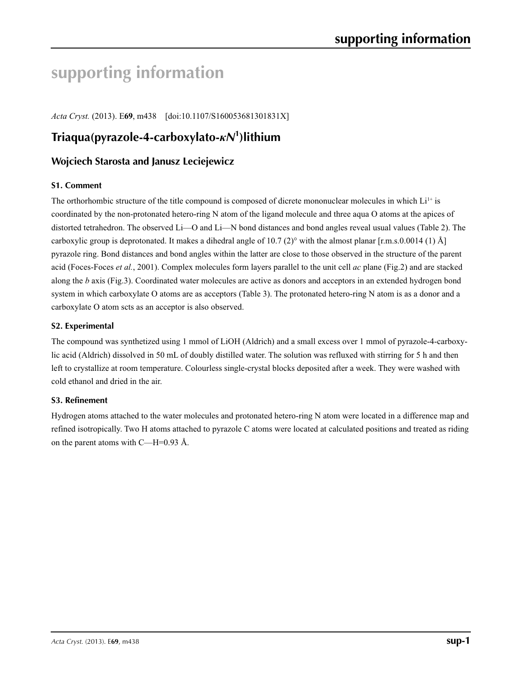# **supporting information**

*Acta Cryst.* (2013). E**69**, m438 [doi:10.1107/S160053681301831X]

# **Triaqua(pyrazole-4-carboxylato-***κN***<sup>1</sup> )lithium**

## **Wojciech Starosta and Janusz Leciejewicz**

## **S1. Comment**

The orthorhombic structure of the title compound is composed of dicrete mononuclear molecules in which  $Li<sup>1+</sup>$  is coordinated by the non-protonated hetero-ring N atom of the ligand molecule and three aqua O atoms at the apices of distorted tetrahedron. The observed Li—O and Li—N bond distances and bond angles reveal usual values (Table 2). The carboxylic group is deprotonated. It makes a dihedral angle of 10.7 (2)° with the almost planar [r.m.s.0.0014 (1) Å] pyrazole ring. Bond distances and bond angles within the latter are close to those observed in the structure of the parent acid (Foces-Foces *et al.*, 2001). Complex molecules form layers parallel to the unit cell *ac* plane (Fig.2) and are stacked along the *b* axis (Fig.3). Coordinated water molecules are active as donors and acceptors in an extended hydrogen bond system in which carboxylate O atoms are as acceptors (Table 3). The protonated hetero-ring N atom is as a donor and a carboxylate O atom scts as an acceptor is also observed.

## **S2. Experimental**

The compound was synthetized using 1 mmol of LiOH (Aldrich) and a small excess over 1 mmol of pyrazole-4-carboxylic acid (Aldrich) dissolved in 50 mL of doubly distilled water. The solution was refluxed with stirring for 5 h and then left to crystallize at room temperature. Colourless single-crystal blocks deposited after a week. They were washed with cold ethanol and dried in the air.

### **S3. Refinement**

Hydrogen atoms attached to the water molecules and protonated hetero-ring N atom were located in a difference map and refined isotropically. Two H atoms attached to pyrazole C atoms were located at calculated positions and treated as riding on the parent atoms with C—H=0.93 Å.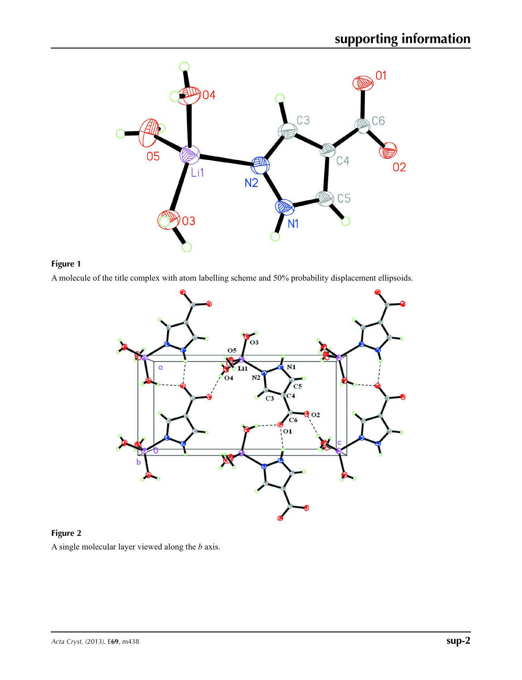

## **Figure 1**

A molecule of the title complex with atom labelling scheme and 50% probability displacement ellipsoids.



## **Figure 2** A single molecular layer viewed along the *b* axis.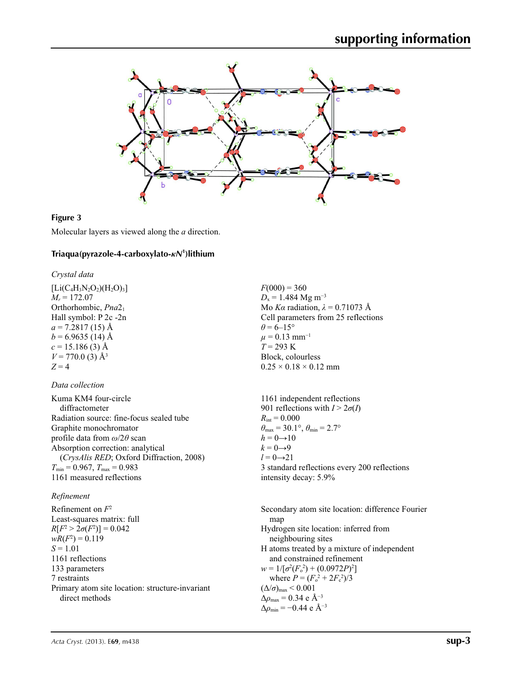

### **Figure 3**

Molecular layers as viewed along the *a* direction.

## **Triaqua(pyrazole-4-carboxylato-***κN***<sup>1</sup> )lithium**

*Crystal data*

 $[Li(C_4H_3N_2O_2)(H_2O)_3]$  $M_r = 172.07$ Orthorhombic, *Pna*21 Hall symbol: P 2c -2n  $a = 7.2817(15)$  Å  $b = 6.9635(14)$  Å  $c = 15.186(3)$  Å  $V = 770.0$  (3) Å<sup>3</sup> *Z* = 4

#### *Data collection*

Kuma KM4 four-circle diffractometer Radiation source: fine-focus sealed tube Graphite monochromator profile data from *ω*/2*θ* scan Absorption correction: analytical (*CrysAlis RED*; Oxford Diffraction, 2008)  $T_{\text{min}} = 0.967, T_{\text{max}} = 0.983$ 1161 measured reflections

#### *Refinement*

Refinement on *F*<sup>2</sup> Least-squares matrix: full *R*[ $F^2 > 2\sigma(F^2)$ ] = 0.042  $wR(F^2) = 0.119$ *S* = 1.01 1161 reflections 133 parameters 7 restraints Primary atom site location: structure-invariant direct methods

 $F(000) = 360$  $D_x = 1.484$  Mg m<sup>-3</sup> Mo *Kα* radiation,  $\lambda = 0.71073$  Å Cell parameters from 25 reflections  $\theta$  = 6–15°  $\mu$  = 0.13 mm<sup>-1</sup>  $T = 293 \text{ K}$ Block, colourless  $0.25 \times 0.18 \times 0.12$  mm

1161 independent reflections 901 reflections with  $I > 2\sigma(I)$  $R_{\text{int}} = 0.000$  $\theta_{\text{max}} = 30.1^{\circ}, \theta_{\text{min}} = 2.7^{\circ}$  $h = 0 \rightarrow 10$  $k = 0 \rightarrow 9$  $l = 0 \rightarrow 21$ 3 standard reflections every 200 reflections intensity decay: 5.9%

Secondary atom site location: difference Fourier map Hydrogen site location: inferred from neighbouring sites H atoms treated by a mixture of independent and constrained refinement  $w = 1/[\sigma^2 (F_o^2) + (0.0972P)^2]$ where  $P = (F_o^2 + 2F_c^2)/3$  $(\Delta/\sigma)_{\text{max}}$  < 0.001 Δ*ρ*max = 0.34 e Å−3  $\Delta\rho_{\text{min}} = -0.44$  e Å<sup>-3</sup>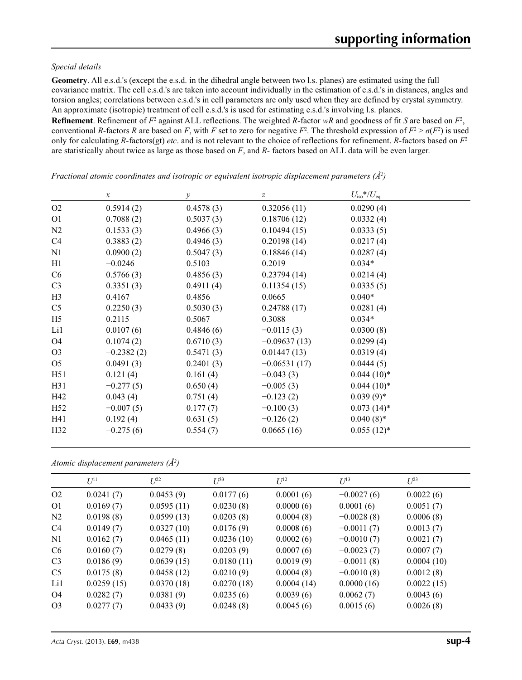### *Special details*

**Geometry**. All e.s.d.'s (except the e.s.d. in the dihedral angle between two l.s. planes) are estimated using the full covariance matrix. The cell e.s.d.'s are taken into account individually in the estimation of e.s.d.'s in distances, angles and torsion angles; correlations between e.s.d.'s in cell parameters are only used when they are defined by crystal symmetry. An approximate (isotropic) treatment of cell e.s.d.'s is used for estimating e.s.d.'s involving l.s. planes.

**Refinement**. Refinement of  $F^2$  against ALL reflections. The weighted R-factor wR and goodness of fit *S* are based on  $F^2$ , conventional *R*-factors *R* are based on *F*, with *F* set to zero for negative  $F^2$ . The threshold expression of  $F^2 > \sigma(F^2)$  is used only for calculating *R*-factors(gt) *etc*. and is not relevant to the choice of reflections for refinement. *R*-factors based on *F*<sup>2</sup> are statistically about twice as large as those based on *F*, and *R*- factors based on ALL data will be even larger.

|                 | $\boldsymbol{x}$ | $\mathcal{Y}$ | $\boldsymbol{Z}$ | $U_{\rm iso}$ */ $U_{\rm eq}$ |  |
|-----------------|------------------|---------------|------------------|-------------------------------|--|
| O2              | 0.5914(2)        | 0.4578(3)     | 0.32056(11)      | 0.0290(4)                     |  |
| O <sub>1</sub>  | 0.7088(2)        | 0.5037(3)     | 0.18706(12)      | 0.0332(4)                     |  |
| N2              | 0.1533(3)        | 0.4966(3)     | 0.10494(15)      | 0.0333(5)                     |  |
| C <sub>4</sub>  | 0.3883(2)        | 0.4946(3)     | 0.20198(14)      | 0.0217(4)                     |  |
| N1              | 0.0900(2)        | 0.5047(3)     | 0.18846(14)      | 0.0287(4)                     |  |
| H1              | $-0.0246$        | 0.5103        | 0.2019           | $0.034*$                      |  |
| C6              | 0.5766(3)        | 0.4856(3)     | 0.23794(14)      | 0.0214(4)                     |  |
| C <sub>3</sub>  | 0.3351(3)        | 0.4911(4)     | 0.11354(15)      | 0.0335(5)                     |  |
| H <sub>3</sub>  | 0.4167           | 0.4856        | 0.0665           | $0.040*$                      |  |
| C <sub>5</sub>  | 0.2250(3)        | 0.5030(3)     | 0.24788(17)      | 0.0281(4)                     |  |
| H <sub>5</sub>  | 0.2115           | 0.5067        | 0.3088           | $0.034*$                      |  |
| Li1             | 0.0107(6)        | 0.4846(6)     | $-0.0115(3)$     | 0.0300(8)                     |  |
| O4              | 0.1074(2)        | 0.6710(3)     | $-0.09637(13)$   | 0.0299(4)                     |  |
| O <sub>3</sub>  | $-0.2382(2)$     | 0.5471(3)     | 0.01447(13)      | 0.0319(4)                     |  |
| O <sub>5</sub>  | 0.0491(3)        | 0.2401(3)     | $-0.06531(17)$   | 0.0444(5)                     |  |
| H51             | 0.121(4)         | 0.161(4)      | $-0.043(3)$      | $0.044(10)*$                  |  |
| H31             | $-0.277(5)$      | 0.650(4)      | $-0.005(3)$      | $0.044(10)*$                  |  |
| H42             | 0.043(4)         | 0.751(4)      | $-0.123(2)$      | $0.039(9)*$                   |  |
| H <sub>52</sub> | $-0.007(5)$      | 0.177(7)      | $-0.100(3)$      | $0.073(14)$ *                 |  |
| H41             | 0.192(4)         | 0.631(5)      | $-0.126(2)$      | $0.040(8)$ *                  |  |
| H32             | $-0.275(6)$      | 0.554(7)      | 0.0665(16)       | $0.055(12)^*$                 |  |

*Fractional atomic coordinates and isotropic or equivalent isotropic displacement parameters (Å2 )*

*Atomic displacement parameters (Å2 )*

|                | $U^{11}$   | $U^{22}$   | $U^{33}$   | $U^{12}$   | $U^{13}$     | $U^{23}$   |
|----------------|------------|------------|------------|------------|--------------|------------|
| O <sub>2</sub> | 0.0241(7)  | 0.0453(9)  | 0.0177(6)  | 0.0001(6)  | $-0.0027(6)$ | 0.0022(6)  |
| O <sub>1</sub> | 0.0169(7)  | 0.0595(11) | 0.0230(8)  | 0.0000(6)  | 0.0001(6)    | 0.0051(7)  |
| N <sub>2</sub> | 0.0198(8)  | 0.0599(13) | 0.0203(8)  | 0.0004(8)  | $-0.0028(8)$ | 0.0006(8)  |
| C4             | 0.0149(7)  | 0.0327(10) | 0.0176(9)  | 0.0008(6)  | $-0.0011(7)$ | 0.0013(7)  |
| N1             | 0.0162(7)  | 0.0465(11) | 0.0236(10) | 0.0002(6)  | $-0.0010(7)$ | 0.0021(7)  |
| C <sub>6</sub> | 0.0160(7)  | 0.0279(8)  | 0.0203(9)  | 0.0007(6)  | $-0.0023(7)$ | 0.0007(7)  |
| C <sub>3</sub> | 0.0186(9)  | 0.0639(15) | 0.0180(11) | 0.0019(9)  | $-0.0011(8)$ | 0.0004(10) |
| C <sub>5</sub> | 0.0175(8)  | 0.0458(12) | 0.0210(9)  | 0.0004(8)  | $-0.0010(8)$ | 0.0012(8)  |
| Li1            | 0.0259(15) | 0.0370(18) | 0.0270(18) | 0.0004(14) | 0.0000(16)   | 0.0022(15) |
| O4             | 0.0282(7)  | 0.0381(9)  | 0.0235(6)  | 0.0039(6)  | 0.0062(7)    | 0.0043(6)  |
| O <sub>3</sub> | 0.0277(7)  | 0.0433(9)  | 0.0248(8)  | 0.0045(6)  | 0.0015(6)    | 0.0026(8)  |
|                |            |            |            |            |              |            |